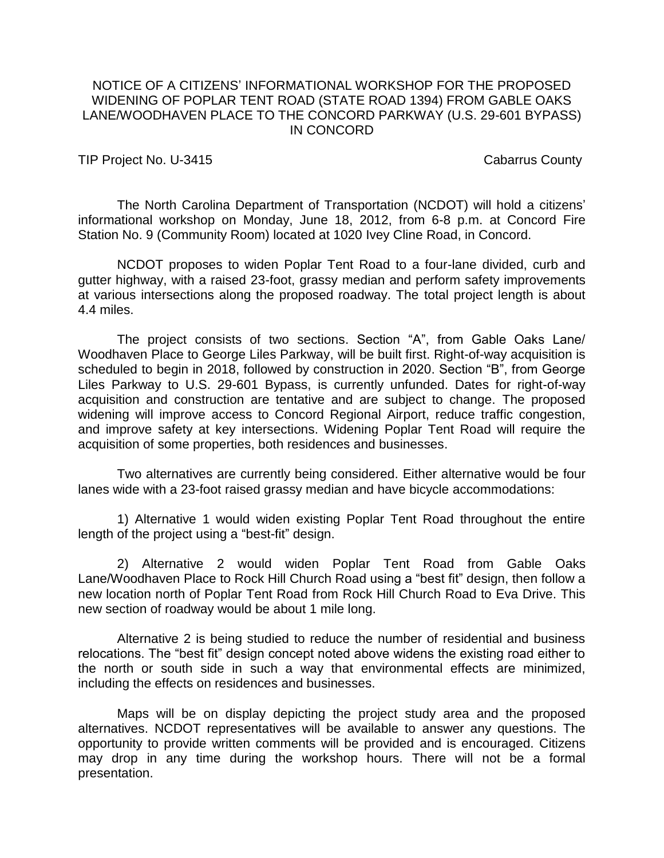## NOTICE OF A CITIZENS' INFORMATIONAL WORKSHOP FOR THE PROPOSED WIDENING OF POPLAR TENT ROAD (STATE ROAD 1394) FROM GABLE OAKS LANE/WOODHAVEN PLACE TO THE CONCORD PARKWAY (U.S. 29-601 BYPASS) IN CONCORD

TIP Project No. U-3415 Cabarrus County

The North Carolina Department of Transportation (NCDOT) will hold a citizens' informational workshop on Monday, June 18, 2012, from 6-8 p.m. at Concord Fire Station No. 9 (Community Room) located at 1020 Ivey Cline Road, in Concord.

NCDOT proposes to widen Poplar Tent Road to a four-lane divided, curb and gutter highway, with a raised 23-foot, grassy median and perform safety improvements at various intersections along the proposed roadway. The total project length is about 4.4 miles.

The project consists of two sections. Section "A", from Gable Oaks Lane/ Woodhaven Place to George Liles Parkway, will be built first. Right-of-way acquisition is scheduled to begin in 2018, followed by construction in 2020. Section "B", from George Liles Parkway to U.S. 29-601 Bypass, is currently unfunded. Dates for right-of-way acquisition and construction are tentative and are subject to change. The proposed widening will improve access to Concord Regional Airport, reduce traffic congestion, and improve safety at key intersections. Widening Poplar Tent Road will require the acquisition of some properties, both residences and businesses.

Two alternatives are currently being considered. Either alternative would be four lanes wide with a 23-foot raised grassy median and have bicycle accommodations:

1) Alternative 1 would widen existing Poplar Tent Road throughout the entire length of the project using a "best-fit" design.

2) Alternative 2 would widen Poplar Tent Road from Gable Oaks Lane/Woodhaven Place to Rock Hill Church Road using a "best fit" design, then follow a new location north of Poplar Tent Road from Rock Hill Church Road to Eva Drive. This new section of roadway would be about 1 mile long.

Alternative 2 is being studied to reduce the number of residential and business relocations. The "best fit" design concept noted above widens the existing road either to the north or south side in such a way that environmental effects are minimized, including the effects on residences and businesses.

Maps will be on display depicting the project study area and the proposed alternatives. NCDOT representatives will be available to answer any questions. The opportunity to provide written comments will be provided and is encouraged. Citizens may drop in any time during the workshop hours. There will not be a formal presentation.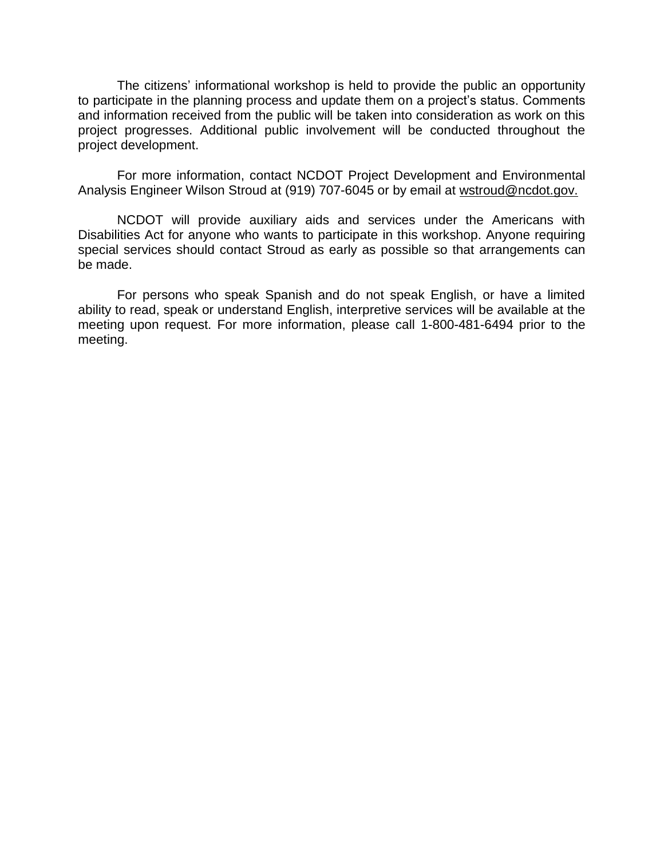The citizens' informational workshop is held to provide the public an opportunity to participate in the planning process and update them on a project's status. Comments and information received from the public will be taken into consideration as work on this project progresses. Additional public involvement will be conducted throughout the project development.

For more information, contact NCDOT Project Development and Environmental Analysis Engineer Wilson Stroud at (919) 707-6045 or by email at wstroud@ncdot.gov.

NCDOT will provide auxiliary aids and services under the Americans with Disabilities Act for anyone who wants to participate in this workshop. Anyone requiring special services should contact Stroud as early as possible so that arrangements can be made.

For persons who speak Spanish and do not speak English, or have a limited ability to read, speak or understand English, interpretive services will be available at the meeting upon request. For more information, please call 1-800-481-6494 prior to the meeting.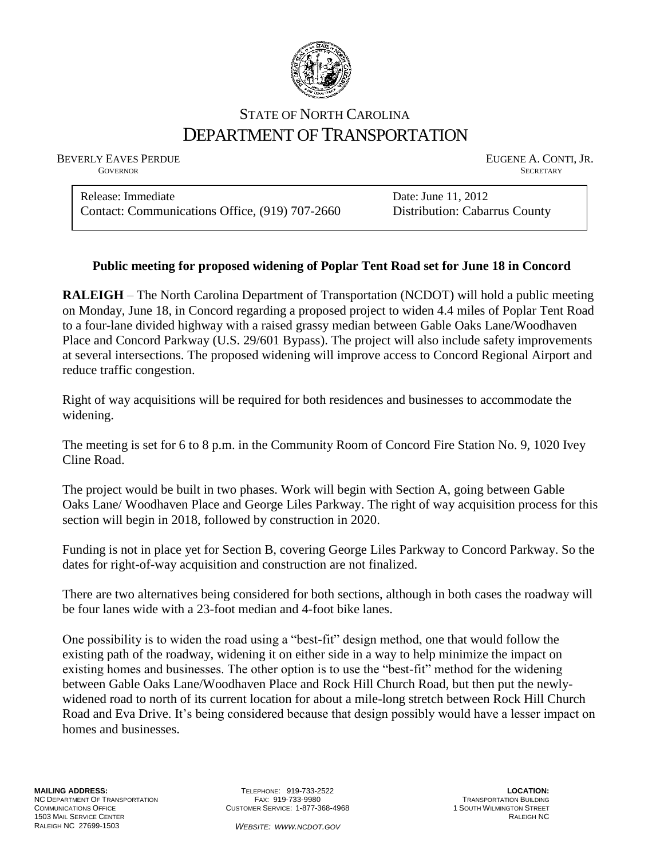

## STATE OF NORTH CAROLINA DEPARTMENT OF TRANSPORTATION

BEVERLY EAVES PERDUE **EUGENE A. CONTI, JR.** 

**GOVERNOR SECRETARY** SECRETARY

Release: Immediate Date: June 11, 2012 Contact: Communications Office, (919) 707-2660 Distribution: Cabarrus County

## **Public meeting for proposed widening of Poplar Tent Road set for June 18 in Concord**

**RALEIGH** – The North Carolina Department of Transportation (NCDOT) will hold a public meeting on Monday, June 18, in Concord regarding a proposed project to widen 4.4 miles of Poplar Tent Road to a four-lane divided highway with a raised grassy median between Gable Oaks Lane/Woodhaven Place and Concord Parkway (U.S. 29/601 Bypass). The project will also include safety improvements at several intersections. The proposed widening will improve access to Concord Regional Airport and reduce traffic congestion.

Right of way acquisitions will be required for both residences and businesses to accommodate the widening.

The meeting is set for 6 to 8 p.m. in the Community Room of Concord Fire Station No. 9, 1020 Ivey Cline Road.

The project would be built in two phases. Work will begin with Section A, going between Gable Oaks Lane/ Woodhaven Place and George Liles Parkway. The right of way acquisition process for this section will begin in 2018, followed by construction in 2020.

Funding is not in place yet for Section B, covering George Liles Parkway to Concord Parkway. So the dates for right-of-way acquisition and construction are not finalized.

There are two alternatives being considered for both sections, although in both cases the roadway will be four lanes wide with a 23-foot median and 4-foot bike lanes.

One possibility is to widen the road using a "best-fit" design method, one that would follow the existing path of the roadway, widening it on either side in a way to help minimize the impact on existing homes and businesses. The other option is to use the "best-fit" method for the widening between Gable Oaks Lane/Woodhaven Place and Rock Hill Church Road, but then put the newlywidened road to north of its current location for about a mile-long stretch between Rock Hill Church Road and Eva Drive. It's being considered because that design possibly would have a lesser impact on homes and businesses.

TELEPHONE: 919-733-2522 FAX: 919-733-9980 CUSTOMER SERVICE: 1-877-368-4968

**LOCATION:** TRANSPORTATION BUILDING 1 SOUTH WILMINGTON STREET RALEIGH NC

*WEBSITE: WWW.NCDOT.GOV*